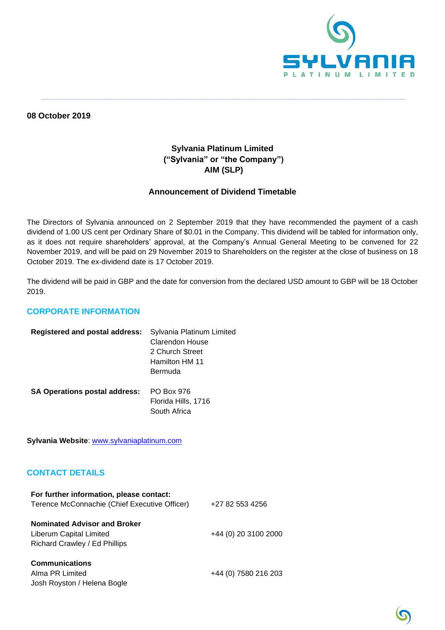

**08 October 2019**

## **Sylvania Platinum Limited ("Sylvania" or "the Company") AIM (SLP)**

**\_\_\_\_\_\_\_\_\_\_\_\_\_\_\_\_\_\_\_\_\_\_\_\_\_\_\_\_\_\_\_\_\_\_\_\_\_\_\_\_\_\_\_\_\_\_\_\_\_\_\_\_\_\_\_\_\_\_\_\_\_\_\_\_\_\_\_\_\_\_\_\_\_\_\_\_\_\_\_\_\_\_\_\_\_\_\_\_\_\_\_\_\_\_\_\_\_\_\_\_\_\_\_\_\_\_\_\_\_\_\_\_\_\_\_\_\_\_\_\_\_\_\_\_\_**

## **Announcement of Dividend Timetable**

The Directors of Sylvania announced on 2 September 2019 that they have recommended the payment of a cash dividend of 1.00 US cent per Ordinary Share of \$0.01 in the Company. This dividend will be tabled for information only, as it does not require shareholders' approval, at the Company's Annual General Meeting to be convened for 22 November 2019, and will be paid on 29 November 2019 to Shareholders on the register at the close of business on 18 October 2019. The ex-dividend date is 17 October 2019.

The dividend will be paid in GBP and the date for conversion from the declared USD amount to GBP will be 18 October 2019.

## **CORPORATE INFORMATION**

| <b>Registered and postal address:</b> | Sylvania Platinum Limited<br>Clarendon House<br>2 Church Street<br>Hamilton HM 11 |
|---------------------------------------|-----------------------------------------------------------------------------------|
|                                       | Bermuda                                                                           |
| <b>SA Operations postal address:</b>  | PO Box 976<br>Florida Hills, 1716<br>South Africa                                 |

**Sylvania Website**: [www.sylvaniaplatinum.com](http://www.sylvaniaplatinum.com/)

## **CONTACT DETAILS**

| For further information, please contact:<br>Terence McConnachie (Chief Executive Officer)       | +27 82 553 4256      |
|-------------------------------------------------------------------------------------------------|----------------------|
| <b>Nominated Advisor and Broker</b><br>Liberum Capital Limited<br>Richard Crawley / Ed Phillips | +44 (0) 20 3100 2000 |
| <b>Communications</b><br>Alma PR Limited<br>Josh Royston / Helena Bogle                         | +44 (0) 7580 216 203 |